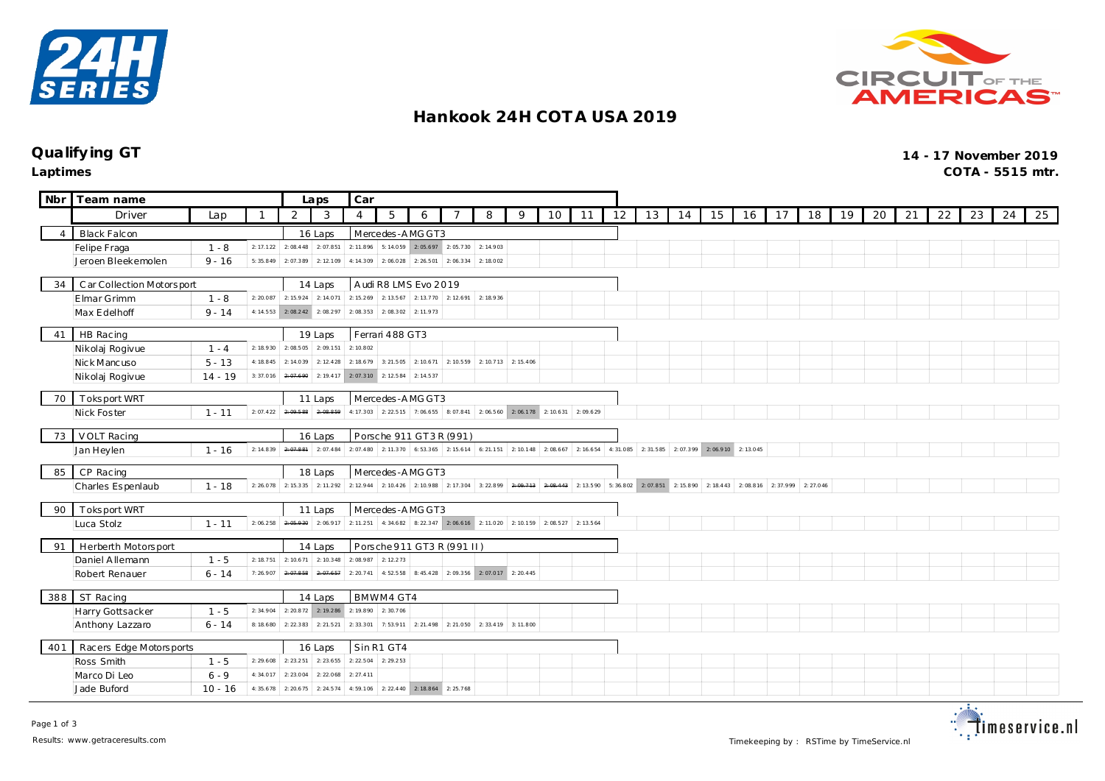



## **Hankook 24H COT A USA 2019**

#### **Qualify ing GT 14 - 17 November 2019**

**Laptimes COTA - 5515 mtr.**

| Nbr            | Team name                                   |           |           | Laps                              | Car                           |                                                                                                                               |                               |           |                                                                                 |           |           |    |                                                                                                                                                                   |    |    |    |    |    |    |    |    |    |    |    |    |    |    |
|----------------|---------------------------------------------|-----------|-----------|-----------------------------------|-------------------------------|-------------------------------------------------------------------------------------------------------------------------------|-------------------------------|-----------|---------------------------------------------------------------------------------|-----------|-----------|----|-------------------------------------------------------------------------------------------------------------------------------------------------------------------|----|----|----|----|----|----|----|----|----|----|----|----|----|----|
|                | Driver                                      | Lap       |           | 2                                 | 3                             | $\overline{4}$                                                                                                                | 5                             | 6         |                                                                                 | 8         | 9         | 10 | 11                                                                                                                                                                | 12 | 13 | 14 | 15 | 16 | 17 | 18 | 19 | 20 | 21 | 22 | 23 | 24 | 25 |
| $\overline{4}$ | <b>Black Falcon</b>                         |           |           |                                   | 16 Laps                       |                                                                                                                               | Mercedes-AMGGT3               |           |                                                                                 |           |           |    |                                                                                                                                                                   |    |    |    |    |    |    |    |    |    |    |    |    |    |    |
|                | Felipe Fraga                                | $1 - 8$   | 2: 17.122 | 2:08.448                          | 2:07.851                      | 2: 11.896                                                                                                                     |                               |           | 5: 14.059 2: 05.697 2: 05.730 2: 14.903                                         |           |           |    |                                                                                                                                                                   |    |    |    |    |    |    |    |    |    |    |    |    |    |    |
|                | Jeroen Bleekemolen                          | $9 - 16$  | 5:35.849  | 2:07.389                          | 2:12.109                      | 4:14.309                                                                                                                      |                               |           | $2:06.028$ 2:26.501 2:06.334                                                    | 2:18.002  |           |    |                                                                                                                                                                   |    |    |    |    |    |    |    |    |    |    |    |    |    |    |
| 34             | C ar Collection Motors port                 |           |           |                                   | 14 Laps                       | Audi R8 LMS Evo 2019                                                                                                          |                               |           |                                                                                 |           |           |    |                                                                                                                                                                   |    |    |    |    |    |    |    |    |    |    |    |    |    |    |
|                | Elmar Grimm                                 | $1 - 8$   |           |                                   | 2: 20.087 2: 15.924 2: 14.071 | 2: 15.269 2: 13.567 2: 13.770 2: 12.691 2: 18.936                                                                             |                               |           |                                                                                 |           |           |    |                                                                                                                                                                   |    |    |    |    |    |    |    |    |    |    |    |    |    |    |
|                | Max Edelhoff                                | $9 - 14$  | 4:14.553  |                                   |                               |                                                                                                                               |                               |           |                                                                                 |           |           |    |                                                                                                                                                                   |    |    |    |    |    |    |    |    |    |    |    |    |    |    |
|                |                                             |           |           |                                   |                               |                                                                                                                               |                               |           |                                                                                 |           |           |    |                                                                                                                                                                   |    |    |    |    |    |    |    |    |    |    |    |    |    |    |
| 41             | HB Racing                                   |           |           |                                   | 19 Laps                       |                                                                                                                               | Ferrari 488 GT3               |           |                                                                                 |           |           |    |                                                                                                                                                                   |    |    |    |    |    |    |    |    |    |    |    |    |    |    |
|                | Nikolaj Rogivue                             | $1 - 4$   | 2: 18.930 | 2:08.505                          | 2:09.151                      | 2:10.802                                                                                                                      |                               |           |                                                                                 |           |           |    |                                                                                                                                                                   |    |    |    |    |    |    |    |    |    |    |    |    |    |    |
|                | Nick Mancuso                                | $5 - 13$  | 4:18.845  | 2: 14.039                         | 2: 12.428                     | 2: 18.679                                                                                                                     | 3:21.505                      | 2: 10.671 | 2: 10.559                                                                       | 2:10.713  | 2: 15.406 |    |                                                                                                                                                                   |    |    |    |    |    |    |    |    |    |    |    |    |    |    |
|                | Nikolaj Rogivue                             | $14 - 19$ | 3:37.016  | 2:07.690                          | 2: 19.417                     | 2:07.310                                                                                                                      | 2:12.584                      | 2: 14.537 |                                                                                 |           |           |    |                                                                                                                                                                   |    |    |    |    |    |    |    |    |    |    |    |    |    |    |
| 70             | Toksport WRT<br>Mercedes-AMG GT3<br>11 Laps |           |           |                                   |                               |                                                                                                                               |                               |           |                                                                                 |           |           |    |                                                                                                                                                                   |    |    |    |    |    |    |    |    |    |    |    |    |    |    |
|                | Nick Foster                                 | $1 - 11$  | 2:07.422  | 2.09.500                          | 2.08.859                      |                                                                                                                               |                               |           | 4: 17.303 2: 22.515 7: 06.655 8: 07.841 2: 06.560 2: 06.178 2: 10.631 2: 09.629 |           |           |    |                                                                                                                                                                   |    |    |    |    |    |    |    |    |    |    |    |    |    |    |
|                |                                             |           |           |                                   |                               |                                                                                                                               |                               |           |                                                                                 |           |           |    |                                                                                                                                                                   |    |    |    |    |    |    |    |    |    |    |    |    |    |    |
| 73             | VOLT Racing                                 |           |           | Porsche 911 GT3R (991)<br>16 Laps |                               |                                                                                                                               |                               |           |                                                                                 |           |           |    |                                                                                                                                                                   |    |    |    |    |    |    |    |    |    |    |    |    |    |    |
|                | Jan Heylen                                  | $1 - 16$  | 2: 14.839 | 2.07.001                          |                               | 2:07.484 2:07.480 2:11.370 6:53.365 2:15.614 6:21.151 2:10.148 2:08.667 2:16.654 4:31.085 2:31.585 2:07.399 2:06.910 2:13.045 |                               |           |                                                                                 |           |           |    |                                                                                                                                                                   |    |    |    |    |    |    |    |    |    |    |    |    |    |    |
| 85             | CP Racing                                   |           |           | 18 Laps                           | Mercedes-AMGGT3               |                                                                                                                               |                               |           |                                                                                 |           |           |    |                                                                                                                                                                   |    |    |    |    |    |    |    |    |    |    |    |    |    |    |
|                | Charles Espenlaub                           | $1 - 18$  | 2:26.078  | 2: 15.335                         | 2:11.292                      | 2: 12.944                                                                                                                     |                               |           |                                                                                 |           |           |    | 2: 10.426 2: 10.988 2: 17.304 3: 22.899 <del>2: 09.713</del> <del>2: 00.443</del> 2: 13.590 5: 36.802 2: 07.851 2: 15.890 2: 18.443 2: 08.816 2: 37.999 2: 27.046 |    |    |    |    |    |    |    |    |    |    |    |    |    |    |
|                |                                             |           |           |                                   |                               |                                                                                                                               |                               |           |                                                                                 |           |           |    |                                                                                                                                                                   |    |    |    |    |    |    |    |    |    |    |    |    |    |    |
|                | 90   Toksport WRT                           |           |           |                                   | 11 Laps                       |                                                                                                                               | Mercedes-AMGGT3               |           |                                                                                 |           |           |    |                                                                                                                                                                   |    |    |    |    |    |    |    |    |    |    |    |    |    |    |
|                | Luca Stolz                                  | $1 - 11$  | 2:06.258  |                                   | $2:05.930$ 2:06.917           | 2: 11.251                                                                                                                     |                               |           | 4: 34.682 8: 22.347 2: 06.616 2: 11.020 2: 10.159 2: 08.527 2: 13.564           |           |           |    |                                                                                                                                                                   |    |    |    |    |    |    |    |    |    |    |    |    |    |    |
| 91             | Herberth Motorsport                         |           |           |                                   | 14 Laps                       |                                                                                                                               |                               |           | Porsche 911 GT3 R (991 II)                                                      |           |           |    |                                                                                                                                                                   |    |    |    |    |    |    |    |    |    |    |    |    |    |    |
|                | Daniel Allemann                             | $1 - 5$   | 2: 18.751 | 2: 10.671                         | 2: 10.348                     | $2:08.987$ 2:12.273                                                                                                           |                               |           |                                                                                 |           |           |    |                                                                                                                                                                   |    |    |    |    |    |    |    |    |    |    |    |    |    |    |
|                | Robert Renauer                              | $6 - 14$  | 7:26.907  | 2.07.858                          | 2:07.657                      | 2: 20.741 4: 52.558 8: 45.428 2: 09.356 2: 07.017 2: 20.445                                                                   |                               |           |                                                                                 |           |           |    |                                                                                                                                                                   |    |    |    |    |    |    |    |    |    |    |    |    |    |    |
|                |                                             |           |           |                                   |                               |                                                                                                                               |                               |           |                                                                                 |           |           |    |                                                                                                                                                                   |    |    |    |    |    |    |    |    |    |    |    |    |    |    |
| 388            | ST Racing                                   |           |           |                                   | 14 Laps                       |                                                                                                                               | BMWM4 GT4                     |           |                                                                                 |           |           |    |                                                                                                                                                                   |    |    |    |    |    |    |    |    |    |    |    |    |    |    |
|                | Harry Gottsacker                            | $1 - 5$   | 2:34.904  | 2: 20.872                         | 2:19.286                      | 2:19.890                                                                                                                      | 2:30.706                      |           |                                                                                 |           |           |    |                                                                                                                                                                   |    |    |    |    |    |    |    |    |    |    |    |    |    |    |
|                | Anthony Lazzaro                             | $6 - 14$  | 8:18.680  | 2: 22.383                         | 2: 21.521                     | 2: 33.301                                                                                                                     | 7:53.911                      | 2: 21.498 | 2: 21.050                                                                       | 2: 33.419 | 3:11.800  |    |                                                                                                                                                                   |    |    |    |    |    |    |    |    |    |    |    |    |    |    |
| 401            | Racers Edge Motorsports                     |           |           |                                   | 16 Laps                       |                                                                                                                               | Sin R1 GT4                    |           |                                                                                 |           |           |    |                                                                                                                                                                   |    |    |    |    |    |    |    |    |    |    |    |    |    |    |
|                | Ross Smith                                  | $1 - 5$   | 2:29.608  | 2: 23.251                         | 2:23.655                      | 2: 22.504                                                                                                                     | 2:29.253                      |           |                                                                                 |           |           |    |                                                                                                                                                                   |    |    |    |    |    |    |    |    |    |    |    |    |    |    |
|                | Marco Di Leo                                | $6 - 9$   | 4:34.017  | 2:23.004                          | 2:22.068                      | 2: 27.411                                                                                                                     |                               |           |                                                                                 |           |           |    |                                                                                                                                                                   |    |    |    |    |    |    |    |    |    |    |    |    |    |    |
|                | Jade Buford                                 | $10 - 16$ | 4:35.678  | 2: 20.675                         | 2: 24.574                     | 4:59.106                                                                                                                      | 2: 22.440 2: 18.864 2: 25.768 |           |                                                                                 |           |           |    |                                                                                                                                                                   |    |    |    |    |    |    |    |    |    |    |    |    |    |    |
|                |                                             |           |           |                                   |                               |                                                                                                                               |                               |           |                                                                                 |           |           |    |                                                                                                                                                                   |    |    |    |    |    |    |    |    |    |    |    |    |    |    |

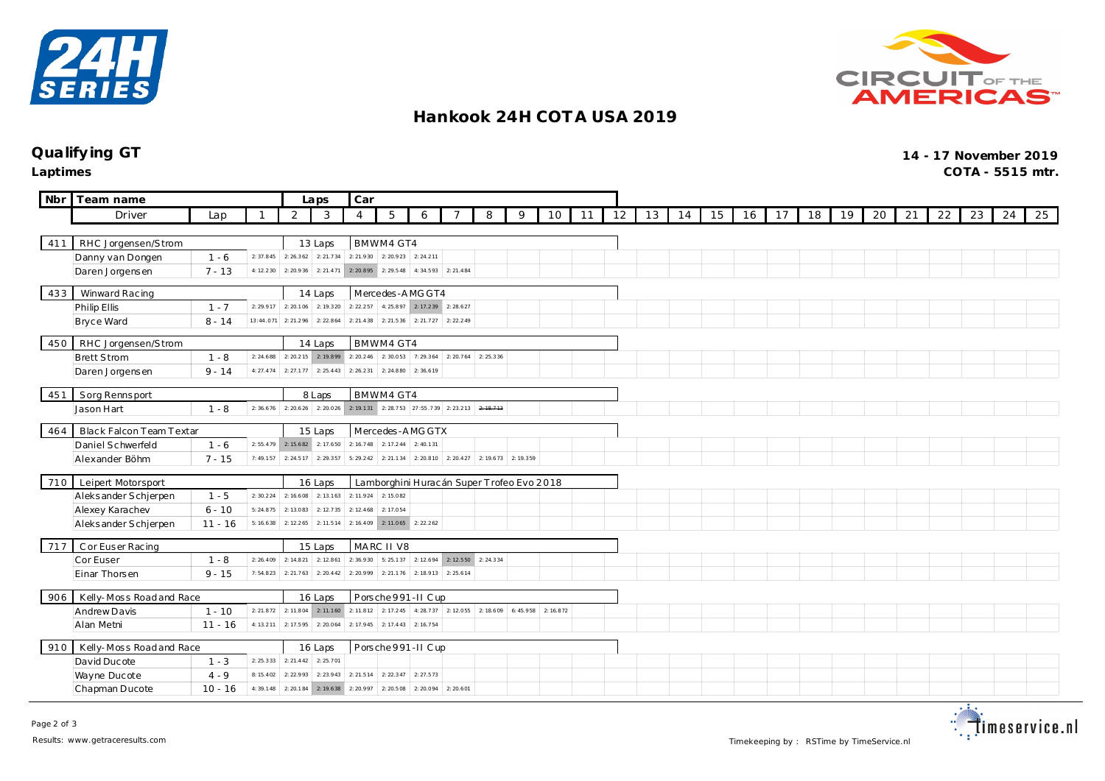



## **Hankook 24H COT A USA 2019**

## **Qualify ing GT 14 - 17 November 2019**

**Laptimes COTA - 5515 mtr.**

| <b>Nbr</b> | Team name                               | Car<br>Laps |           |                  |                                                                       |                                           |                                 |           |                                                     |   |          |           |    |    |    |    |    |    |    |    |    |    |    |    |    |    |    |
|------------|-----------------------------------------|-------------|-----------|------------------|-----------------------------------------------------------------------|-------------------------------------------|---------------------------------|-----------|-----------------------------------------------------|---|----------|-----------|----|----|----|----|----|----|----|----|----|----|----|----|----|----|----|
|            | Driver                                  | Lap         |           | 2                | 3                                                                     | $\overline{4}$                            | 5                               | 6         |                                                     | 8 | 9        | 10        | 11 | 12 | 13 | 14 | 15 | 16 | 17 | 18 | 19 | 20 | 21 | 22 | 23 | 24 | 25 |
|            |                                         |             |           |                  |                                                                       |                                           |                                 |           |                                                     |   |          |           |    |    |    |    |    |    |    |    |    |    |    |    |    |    |    |
| 411        | RHC Jorgensen/Strom                     |             |           |                  |                                                                       |                                           | BMWM4 GT4                       |           |                                                     |   |          |           |    |    |    |    |    |    |    |    |    |    |    |    |    |    |    |
|            | Danny van Dongen                        | $1 - 6$     |           |                  | 2: 37.845 2: 26.362 2: 21.734 2: 21.930 2: 20.923 2: 24.211           |                                           |                                 |           |                                                     |   |          |           |    |    |    |    |    |    |    |    |    |    |    |    |    |    |    |
|            | Daren Jorgensen                         | $7 - 13$    |           |                  | 4: 12.230 2: 20.936 2: 21.471 2: 20.895 2: 29.548 4: 34.593 2: 21.484 |                                           |                                 |           |                                                     |   |          |           |    |    |    |    |    |    |    |    |    |    |    |    |    |    |    |
| 433        | Winward Racing                          |             |           | 14 Laps          |                                                                       | Mercedes-AMGGT4                           |                                 |           |                                                     |   |          |           |    |    |    |    |    |    |    |    |    |    |    |    |    |    |    |
|            | Philip Ellis                            | $1 - 7$     | 2: 29.917 | 2: 20.106        | 2:19.320                                                              | 2: 22.257                                 | 4: 25.897 2: 17.239 2: 28.627   |           |                                                     |   |          |           |    |    |    |    |    |    |    |    |    |    |    |    |    |    |    |
|            | Bryce Ward                              | $8 - 14$    | 13:44.071 | 2: 21.296        | 2: 22.864                                                             | 2: 21.438                                 | 2: 21.536                       | 2: 21.727 | 2: 22.249                                           |   |          |           |    |    |    |    |    |    |    |    |    |    |    |    |    |    |    |
|            |                                         |             |           |                  |                                                                       |                                           |                                 |           |                                                     |   |          |           |    |    |    |    |    |    |    |    |    |    |    |    |    |    |    |
| 450        | RHC Jorgensen/Strom                     |             |           | 14 Laps          |                                                                       | BMWM4 GT4                                 |                                 |           |                                                     |   |          |           |    |    |    |    |    |    |    |    |    |    |    |    |    |    |    |
|            | <b>Brett Strom</b>                      | $1 - 8$     | 2: 24.688 | 2: 20.215        | 2: 19.899                                                             |                                           | $2: 20.246$ 2:30.053            |           | 7: 29.364 2: 20.764 2: 25.336                       |   |          |           |    |    |    |    |    |    |    |    |    |    |    |    |    |    |    |
|            | Daren Jorgensen                         | $9 - 14$    | 4: 27.474 | 2: 27.177        | 2: 25.443                                                             |                                           | $2: 26.231$ 2: 24.880 2: 36.619 |           |                                                     |   |          |           |    |    |    |    |    |    |    |    |    |    |    |    |    |    |    |
| 451        | Sorg Rennsport                          |             |           |                  | 8 Laps                                                                |                                           | BMWM4 GT4                       |           |                                                     |   |          |           |    |    |    |    |    |    |    |    |    |    |    |    |    |    |    |
|            | Jason Hart                              | $1 - 8$     | 2:36.676  |                  | 2: 20.626 2: 20.026 2: 19.131 2: 28.753 27:55.739 2: 23.213 2: 10.713 |                                           |                                 |           |                                                     |   |          |           |    |    |    |    |    |    |    |    |    |    |    |    |    |    |    |
| 464        | Black Falcon Team Textar                |             | 15 Laps   | Mercedes-AMG GTX |                                                                       |                                           |                                 |           |                                                     |   |          |           |    |    |    |    |    |    |    |    |    |    |    |    |    |    |    |
|            | Daniel Schwerfeld                       | $1 - 6$     |           |                  | $2: 55.479$ 2: 15.682 2: 17.650                                       |                                           | 2: 16.748 2: 17.244 2: 40.131   |           |                                                     |   |          |           |    |    |    |    |    |    |    |    |    |    |    |    |    |    |    |
|            | Alexander Böhm                          | $7 - 15$    | 7:49.157  | 2: 24.517        | 2:29.357                                                              |                                           |                                 |           | 5: 29.242 2: 21.134 2: 20.810 2: 20.427 2: 19.673   |   | 2:19.359 |           |    |    |    |    |    |    |    |    |    |    |    |    |    |    |    |
|            |                                         |             |           |                  |                                                                       |                                           |                                 |           |                                                     |   |          |           |    |    |    |    |    |    |    |    |    |    |    |    |    |    |    |
| 710        | Leipert Motorsport                      |             |           |                  | 16 Laps                                                               | Lamborghini Huracán Super Trofeo Evo 2018 |                                 |           |                                                     |   |          |           |    |    |    |    |    |    |    |    |    |    |    |    |    |    |    |
|            | Aleksander Schjerpen                    | $1 - 5$     | 2:30.224  | 2:16.608         | 2: 13.163                                                             |                                           | 2: 11.924 2: 15.082             |           |                                                     |   |          |           |    |    |    |    |    |    |    |    |    |    |    |    |    |    |    |
|            | Alexey Karachev                         | $6 - 10$    | 5:24.875  | 2:13.083         | 2: 12.735                                                             | 2: 12.468                                 | 2:17.054                        |           |                                                     |   |          |           |    |    |    |    |    |    |    |    |    |    |    |    |    |    |    |
|            | Aleksander Schjerpen                    | $11 - 16$   | 5:16.638  | 2: 12.265        | 2:11.514                                                              |                                           | 2: 16.409 2: 11.065 2: 22.262   |           |                                                     |   |          |           |    |    |    |    |    |    |    |    |    |    |    |    |    |    |    |
| 717        | C or Euser Racing                       |             |           |                  | 15 Laps                                                               |                                           | MARC II V8                      |           |                                                     |   |          |           |    |    |    |    |    |    |    |    |    |    |    |    |    |    |    |
|            | Cor Euser                               | $1 - 8$     | 2: 26.409 | 2: 14.821        | 2: 12.861                                                             |                                           |                                 |           | 2: 36.930 5: 25.137 2: 12.694 2: 12.550 2: 24.334   |   |          |           |    |    |    |    |    |    |    |    |    |    |    |    |    |    |    |
|            | Einar Thorsen                           | $9 - 15$    | 7:54.823  | 2: 21.763        | 2: 20.442                                                             |                                           | 2: 20.999 2: 21.176             |           | 2: 18.913 2: 25.614                                 |   |          |           |    |    |    |    |    |    |    |    |    |    |    |    |    |    |    |
|            |                                         |             |           |                  |                                                                       |                                           |                                 |           |                                                     |   |          |           |    |    |    |    |    |    |    |    |    |    |    |    |    |    |    |
| 906        | Kelly-Moss Roadand Race<br>Andrew Davis | $1 - 10$    | 2: 21.872 | 2: 11.804        | 16 Laps<br>2: 11.160                                                  |                                           | Porsche 991-II Cup              |           | 2: 11.8 12 2: 17.2 45 4: 28.737 2: 12.055 2: 18.609 |   | 6:45.958 | 2: 16.872 |    |    |    |    |    |    |    |    |    |    |    |    |    |    |    |
|            | Alan Metni                              | $11 - 16$   | 4:13.211  | 2: 17.595        | 2:20.064                                                              | 2: 17.945                                 | 2: 17.443                       | 2: 16.754 |                                                     |   |          |           |    |    |    |    |    |    |    |    |    |    |    |    |    |    |    |
|            |                                         |             |           |                  |                                                                       |                                           |                                 |           |                                                     |   |          |           |    |    |    |    |    |    |    |    |    |    |    |    |    |    |    |
| 910        | Kelly-Moss Roadand Race                 |             |           |                  | 16 Laps                                                               |                                           | Porsche 991-II Cup              |           |                                                     |   |          |           |    |    |    |    |    |    |    |    |    |    |    |    |    |    |    |
|            | David Ducote                            | $1 - 3$     | 2: 25.333 | 2: 21.442        | 2:25.701                                                              |                                           |                                 |           |                                                     |   |          |           |    |    |    |    |    |    |    |    |    |    |    |    |    |    |    |
|            | Wayne Ducote                            | $4 - 9$     | 8:15.402  | 2:22.993         | 2: 23.943                                                             | 2: 21.514                                 | 2: 22.347                       | 2: 27.573 |                                                     |   |          |           |    |    |    |    |    |    |    |    |    |    |    |    |    |    |    |
|            | Chapman Ducote                          | $10 - 16$   | 4:39.148  | 2: 20.184        | 2: 19.638                                                             | 2: 20.997                                 | 2: 20.508 2: 20.094 2: 20.601   |           |                                                     |   |          |           |    |    |    |    |    |    |    |    |    |    |    |    |    |    |    |